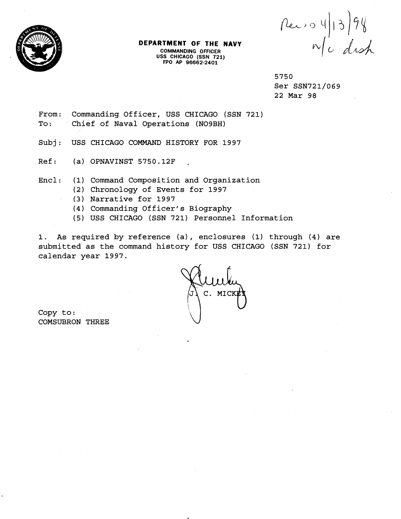

## **DEPARTMENT OF THE NAVY COMMANDING OFFICER USS CHICAGO (SSN 721) FPO AP 96662-2401**

 $\begin{array}{c}\n\text{Re}\rightarrow\text{O} & \text{1}\n\end{array}$   $\begin{array}{c}\n\text{Ne}\rightarrow\text{O} & \text{1}\n\end{array}$ 

5750 Ser SSN721/069 22 Mar 98

- From: Commanding Officer, USS CHICAGO (SSN 721) To: Chief of Naval Operations (NO9BH)
- Subj: USS CHICAGO COMMAND HISTORY FOR 1997
- $Ref:$  (a) OPNAVINST 5750.12F
- Encl: (1) Command Composition and Organization
	- (2) Chronology of Events for 1997
	- (3) Narrative for 1997
	- (4) Commanding Officer's Biography
	- (5) USS CHICAGO (SSN 721) Personnel Information

1. As required by reference (a) , enclosures (1) through **(4)** are submitted as the command history for USS CHICAGO (SSN 721) for calendar year 1997.

C. MICH

Copy to : COMSUBRON THREE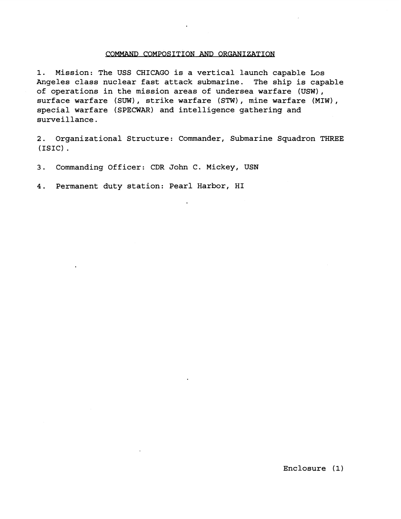## COMMAND COMPOSITION AND ORGANIZATION

1. Mission: The USS CHICAGO is a vertical launch capable Los Angeles class nuclear fast attack submarine. The ship is capable of operations in the mission areas of undersea warfare (USW), surface warfare (SUW), strike warfare (STW), mine warfare (MIW), special warfare (SPECWAR) and intelligence gathering and surveillance.

2. Organizational Structure: Commander, Submarine Squadron THREE (ISIC) .

3. Commanding Officer: CDR John C. Mickey, USN

4. Permanent duty station: Pearl Harbor, HI

Enclosure **(1)**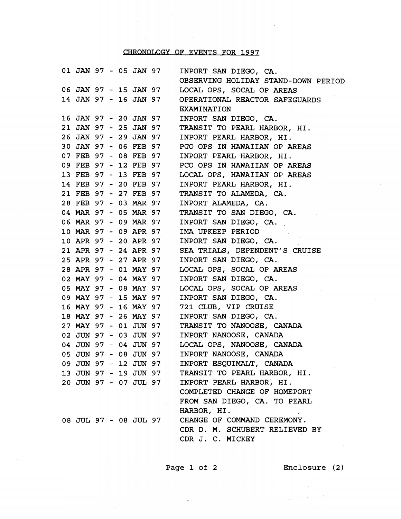## CHRONOLOGY OF EVENTS FOR 1997

|                       |  |  | 01 JAN 97 - 05 JAN 97 | INPORT SAN DIEGO, CA.               |
|-----------------------|--|--|-----------------------|-------------------------------------|
|                       |  |  |                       | OBSERVING HOLIDAY STAND-DOWN PERIOD |
|                       |  |  | 06 JAN 97 - 15 JAN 97 | LOCAL OPS, SOCAL OP AREAS           |
|                       |  |  | 14 JAN 97 - 16 JAN 97 | OPERATIONAL REACTOR SAFEGUARDS      |
|                       |  |  |                       | <b>EXAMINATION</b>                  |
|                       |  |  | 16 JAN 97 - 20 JAN 97 | INPORT SAN DIEGO, CA.               |
|                       |  |  | 21 JAN 97 - 25 JAN 97 | TRANSIT TO PEARL HARBOR, HI.        |
| 26 JAN 97 - 29 JAN 97 |  |  |                       | INPORT PEARL HARBOR, HI.            |
| 30 JAN 97 - 06 FEB 97 |  |  |                       | PCO OPS IN HAWAIIAN OP AREAS        |
|                       |  |  | 07 FEB 97 - 08 FEB 97 | INPORT PEARL HARBOR, HI.            |
|                       |  |  | 09 FEB 97 - 12 FEB 97 | PCO OPS IN HAWAIIAN OP AREAS        |
| 13 FEB 97 - 13 FEB 97 |  |  |                       | LOCAL OPS, HAWAIIAN OP AREAS        |
| 14 FEB 97 - 20 FEB 97 |  |  |                       | INPORT PEARL HARBOR, HI.            |
| 21 FEB 97 - 27 FEB 97 |  |  |                       | TRANSIT TO ALAMEDA, CA.             |
| 28 FEB 97 - 03 MAR 97 |  |  |                       | INPORT ALAMEDA, CA.                 |
|                       |  |  | 04 MAR 97 - 05 MAR 97 | TRANSIT TO SAN DIEGO, CA.           |
|                       |  |  | 06 MAR 97 - 09 MAR 97 | INPORT SAN DIEGO, CA.               |
| 10 MAR 97 - 09 APR 97 |  |  |                       | IMA UPKEEP PERIOD                   |
| 10 APR 97 - 20 APR 97 |  |  |                       | INPORT SAN DIEGO, CA.               |
|                       |  |  | 21 APR 97 - 24 APR 97 | SEA TRIALS, DEPENDENT'S CRUISE      |
|                       |  |  | 25 APR 97 - 27 APR 97 | INPORT SAN DIEGO, CA.               |
| 28 APR 97 - 01 MAY 97 |  |  |                       | LOCAL OPS, SOCAL OP AREAS           |
| 02 MAY 97 - 04 MAY 97 |  |  |                       | INPORT SAN DIEGO, CA.               |
| 05 MAY 97 - 08 MAY 97 |  |  |                       | LOCAL OPS, SOCAL OP AREAS           |
| 09 MAY 97 - 15 MAY 97 |  |  |                       | INPORT SAN DIEGO, CA.               |
|                       |  |  | 16 MAY 97 - 16 MAY 97 | 721 CLUB, VIP CRUISE                |
|                       |  |  | 18 MAY 97 - 26 MAY 97 | INPORT SAN DIEGO, CA.               |
|                       |  |  | 27 MAY 97 - 01 JUN 97 | TRANSIT TO NANOOSE, CANADA          |
|                       |  |  | 02 JUN 97 - 03 JUN 97 | INPORT NANOOSE, CANADA              |
|                       |  |  | 04 JUN 97 - 04 JUN 97 | LOCAL OPS, NANOOSE, CANADA          |
| 05 JUN 97 - 08 JUN 97 |  |  |                       | INPORT NANOOSE, CANADA              |
| 09 JUN 97 - 12 JUN 97 |  |  |                       | INPORT ESQUIMALT, CANADA            |
|                       |  |  | 13 JUN 97 - 19 JUN 97 | TRANSIT TO PEARL HARBOR, HI.        |
| 20 JUN 97 - 07 JUL 97 |  |  |                       | INPORT PEARL HARBOR, HI.            |
|                       |  |  |                       | COMPLETED CHANGE OF HOMEPORT        |
|                       |  |  |                       | FROM SAN DIEGO, CA. TO PEARL        |
|                       |  |  |                       | HARBOR, HI.                         |
| 08 JUL 97 - 08 JUL 97 |  |  |                       | CHANGE OF COMMAND CEREMONY.         |
|                       |  |  |                       | CDR D. M. SCHUBERT RELIEVED BY      |
|                       |  |  |                       | CDR J. C. MICKEY                    |
|                       |  |  |                       |                                     |

Page 1 of 2 Enclosure (2)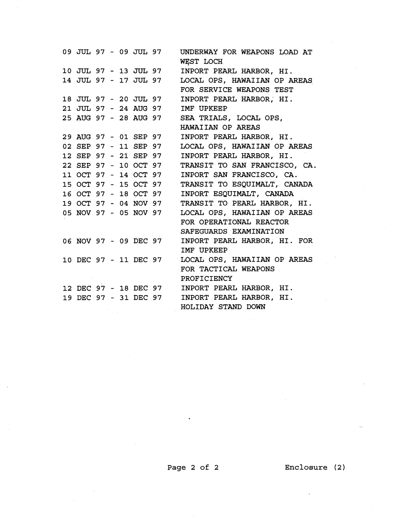**09** JUL **97** - **09** JUL **97 10** JUL **97** - **13** JUL **97 14** JUL **97** - **17** JUL **97 18** JUL **97** - **20** JUL **97 21** JUL **97** - **24** AUG **97 25** AUG **97** - **28** AUG **97 29** AUG **97** - **01** SEP **97 02** SEP **97** - **11** SEP **97 12** SEP **97** - **21** SEP **97 22** SEP **97** - **10** OCT **97 11** OCT **97** - **14** OCT **97 15** OCT **97** - **15** OCT **97 16** OCT **97** - **18** OCT **97 19** OCT **97** - **04** NOV **97 05** NOV **97** - **05** NOV **97 06** NOV **97** - **09** DEC **97 10** DEC **97** - **11** DEC **97 12** DEC **97** - **18** DEC **97 19** DEC **97** - **31** DEC **97**  UNDERWAY FOR WEAPONS LOAD AT WEST LOCH INPORT PEARL HARBOR, HI. LOCAL OPS, HAWAIIAN OP AREAS FOR SERVICE WEAPONS TEST INPORT PEARL HARBOR, HI. IMF UPKEEP SEA TRIALS, LOCAL OPS, HAWAIIAN OP AREAS INPORT PEARL HARBOR, HI. LOCAL OPS, HAWAIIAN OP AREAS INPORT PEARL HARBOR, HI. TRANSIT TO SAM FRANCISCO, CA. INPORT SAN FRANCISCO, CA. TRANSIT TO ESQUIMALT, CANADA INPORT ESQUIMALT, CANADA TRANSIT TO PEARL HARBOR, HI. LOCAL OPS, HAWAIIAN OP AREAS FOR OPERATIONAL REACTOR SAFEGUARDS EXAMINATION INPORT PEARL HARBOR, HI. FOR IMF UPKEEP LOCAL OPS, HAWAIIAN OP AREAS FOR TACTICAL WEAPONS PROFICIENCY IMPORT PEARL HARBOR, HI. INPORT PEARL HARBOR, HI. HOLIDAY STAND DOWN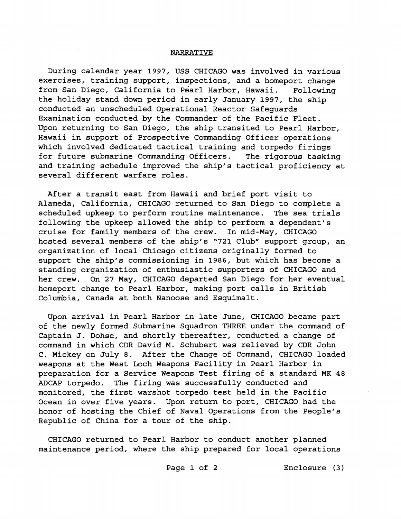## **NARRATIVE**

During calendar year 1997, USS CHICAGO was involved in various exercises, training support, inspections, and a homeport change from San Diego, California to Pearl Harbor, Hawaii. Following the holiday stand down period in early January 1997, the ship conducted an unscheduled Operational Reactor Safeguards Examination conducted by the Commander of the Pacific Fleet. Upon returning to San Diego, the ship transited to Pearl Harbor, Hawaii in support of Prospective Commanding Officer operations which involved dedicated tactical training and torpedo firings for future submarine Commanding Officers. The rigorous tasking and training schedule improved the ship's tactical proficiency at several different warfare roles.

After a transit east from Hawaii and brief port visit to Alameda, California, CHICAGO returned to San Diego to complete a scheduled upkeep to perform routine maintenance. The sea trials following the upkeep allowed the ship to perform a dependent's cruise for family members of the crew. In mid-May, CHICAGO hosted several members of the ship's "721 Club" support group, an organization of local Chicago citizens originally formed to support the ship's commissioninq in 1986, but which has become a standing organization of enthusiastic supporters of CHICAGO and her crew. On 27 May, CHICAGO departed San Diego for her eventual homeport change to Pearl Harbor, making port calls in British Columbia, Canada at both Nanoose and Esquimalt.

Upon arrival in Pearl Harbor in late June, CHICAGO became part of the newly formed Submarine Squadron THREE under the command of Captain J. Dohse, and shortly thereafter, conducted a change of command in which CDR David M. Schubert was relieved by CDR John C. Mickey on July 8. After the Change of Command, CHICAGO loaded weapons at the West Loch Weapons Facility in Pearl Harbor in preparation for a Service Weapons Test firing of a standard MK 48 ADCAP torpedo. The firing was successfully conducted and monitored, the first warshot torpedo test held in the Pacific Ocean in over five years. Upon return to port, CHICAGO had the honor of hosting the Chief of Naval Operations from the People's Republic of China for a tour of the ship.

CHICAGO returned to Pearl Harbor to conduct another planned maintenance period, where the ship prepared for local operations

Page 1 of 2 Enclosure (3)